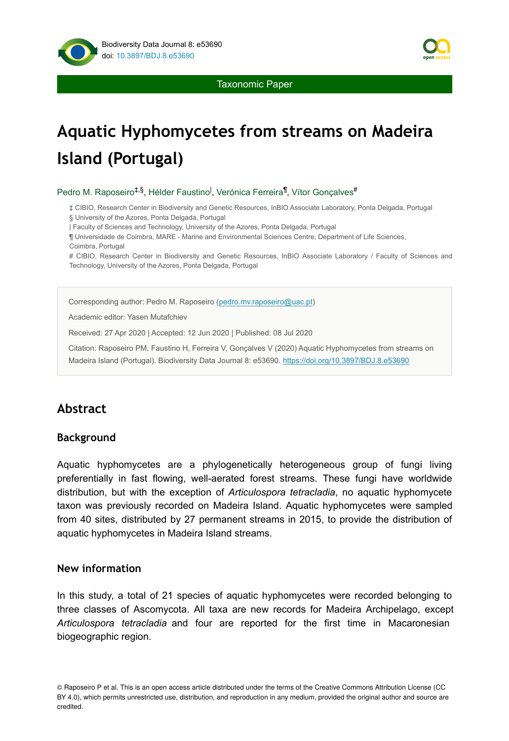

Taxonomic Paper

# **Aquatic Hyphomycetes from streams on Madeira Island (Portugal)**

Pedro M. Raposeiro<sup>‡,§</sup>, Hélder Faustino<sup>l</sup>, Verónica Ferreira<sup>¶</sup>, Vítor Gonçalves<sup>#</sup>

‡ CIBIO, Research Center in Biodiversity and Genetic Resources, InBIO Associate Laboratory, Ponta Delgada, Portugal § University of the Azores, Ponta Delgada, Portugal

| Faculty of Sciences and Technology, University of the Azores, Ponta Delgada, Portugal

¶ Universidade de Coimbra, MARE - Marine and Environmental Sciences Centre, Department of Life Sciences, Coimbra, Portugal

# CIBIO, Research Center in Biodiversity and Genetic Resources, InBIO Associate Laboratory / Faculty of Sciences and Technology, University of the Azores, Ponta Delgada, Portugal

Corresponding author: Pedro M. Raposeiro ([pedro.mv.raposeiro@uac.pt](mailto:pedro.mv.raposeiro@uac.pt))

Academic editor: Yasen Mutafchiev

Received: 27 Apr 2020 | Accepted: 12 Jun 2020 | Published: 08 Jul 2020

Citation: Raposeiro PM, Faustino H, Ferreira V, Gonçalves V (2020) Aquatic Hyphomycetes from streams on Madeira Island (Portugal). Biodiversity Data Journal 8: e53690. <https://doi.org/10.3897/BDJ.8.e53690>

# **Abstract**

#### **Background**

Aquatic hyphomycetes are a phylogenetically heterogeneous group of fungi living preferentially in fast flowing, well-aerated forest streams. These fungi have worldwide distribution, but with the exception of *Articulospora tetracladia*, no aquatic hyphomycete taxon was previously recorded on Madeira Island. Aquatic hyphomycetes were sampled from 40 sites, distributed by 27 permanent streams in 2015, to provide the distribution of aquatic hyphomycetes in Madeira Island streams.

#### **New information**

In this study, a total of 21 species of aquatic hyphomycetes were recorded belonging to three classes of Ascomycota. All taxa are new records for Madeira Archipelago, except *Articulospora tetracladia* and four are reported for the first time in Macaronesian biogeographic region.

© Raposeiro P et al. This is an open access article distributed under the terms of the Creative Commons Attribution License (CC BY 4.0), which permits unrestricted use, distribution, and reproduction in any medium, provided the original author and source are credited.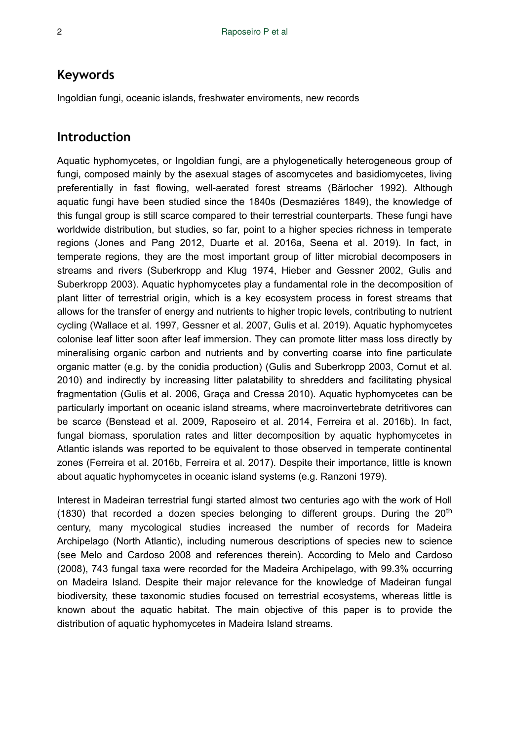## **Keywords**

Ingoldian fungi, oceanic islands, freshwater enviroments, new records

## **Introduction**

Aquatic hyphomycetes, or Ingoldian fungi, are a phylogenetically heterogeneous group of fungi, composed mainly by the asexual stages of ascomycetes and basidiomycetes, living preferentially in fast flowing, well-aerated forest streams (Bärlocher 1992). Although aquatic fungi have been studied since the 1840s (Desmaziéres 1849), the knowledge of this fungal group is still scarce compared to their terrestrial counterparts. These fungi have worldwide distribution, but studies, so far, point to a higher species richness in temperate regions (Jones and Pang 2012, Duarte et al. 2016a, Seena et al. 2019). In fact, in temperate regions, they are the most important group of litter microbial decomposers in streams and rivers (Suberkropp and Klug 1974, Hieber and Gessner 2002, Gulis and Suberkropp 2003). Aquatic hyphomycetes play a fundamental role in the decomposition of plant litter of terrestrial origin, which is a key ecosystem process in forest streams that allows for the transfer of energy and nutrients to higher tropic levels, contributing to nutrient cycling (Wallace et al. 1997, Gessner et al. 2007, Gulis et al. 2019). Aquatic hyphomycetes colonise leaf litter soon after leaf immersion. They can promote litter mass loss directly by mineralising organic carbon and nutrients and by converting coarse into fine particulate organic matter (e.g. by the conidia production) (Gulis and Suberkropp 2003, Cornut et al. 2010) and indirectly by increasing litter palatability to shredders and facilitating physical fragmentation (Gulis et al. 2006, Graça and Cressa 2010). Aquatic hyphomycetes can be particularly important on oceanic island streams, where macroinvertebrate detritivores can be scarce (Benstead et al. 2009, Raposeiro et al. 2014, Ferreira et al. 2016b). In fact, fungal biomass, sporulation rates and litter decomposition by aquatic hyphomycetes in Atlantic islands was reported to be equivalent to those observed in temperate continental zones (Ferreira et al. 2016b, Ferreira et al. 2017). Despite their importance, little is known about aquatic hyphomycetes in oceanic island systems (e.g. Ranzoni 1979).

Interest in Madeiran terrestrial fungi started almost two centuries ago with the work of Holl (1830) that recorded a dozen species belonging to different groups. During the  $20<sup>th</sup>$ century, many mycological studies increased the number of records for Madeira Archipelago (North Atlantic), including numerous descriptions of species new to science (see Melo and Cardoso 2008 and references therein). According to Melo and Cardoso (2008), 743 fungal taxa were recorded for the Madeira Archipelago, with 99.3% occurring on Madeira Island. Despite their major relevance for the knowledge of Madeiran fungal biodiversity, these taxonomic studies focused on terrestrial ecosystems, whereas little is known about the aquatic habitat. The main objective of this paper is to provide the distribution of aquatic hyphomycetes in Madeira Island streams.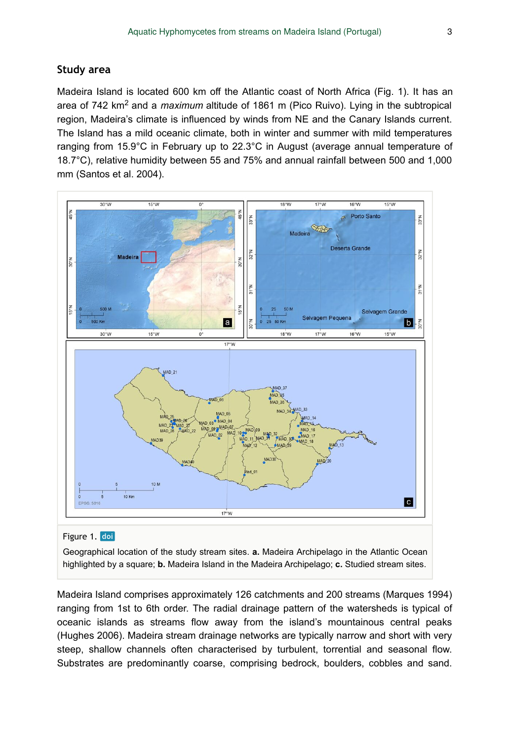#### **Study area**

Madeira Island is located 600 km off the Atlantic coast of North Africa (Fig. 1). It has an area of 742 km<sup>2</sup> and a *maximum* altitude of 1861 m (Pico Ruivo). Lying in the subtropical region, Madeira's climate is influenced by winds from NE and the Canary Islands current. The Island has a mild oceanic climate, both in winter and summer with mild temperatures ranging from 15.9°C in February up to 22.3°C in August (average annual temperature of 18.7°C), relative humidity between 55 and 75% and annual rainfall between 500 and 1,000 mm (Santos et al. 2004).



#### Figure 1. doi

Geographical location of the study stream sites. **a.** Madeira Archipelago in the Atlantic Ocean highlighted by a square; **b.** Madeira Island in the Madeira Archipelago; **c.** Studied stream sites.

Madeira Island comprises approximately 126 catchments and 200 streams (Marques 1994) ranging from 1st to 6th order. The radial drainage pattern of the watersheds is typical of oceanic islands as streams flow away from the island's mountainous central peaks (Hughes 2006). Madeira stream drainage networks are typically narrow and short with very steep, shallow channels often characterised by turbulent, torrential and seasonal flow. Substrates are predominantly coarse, comprising bedrock, boulders, cobbles and sand.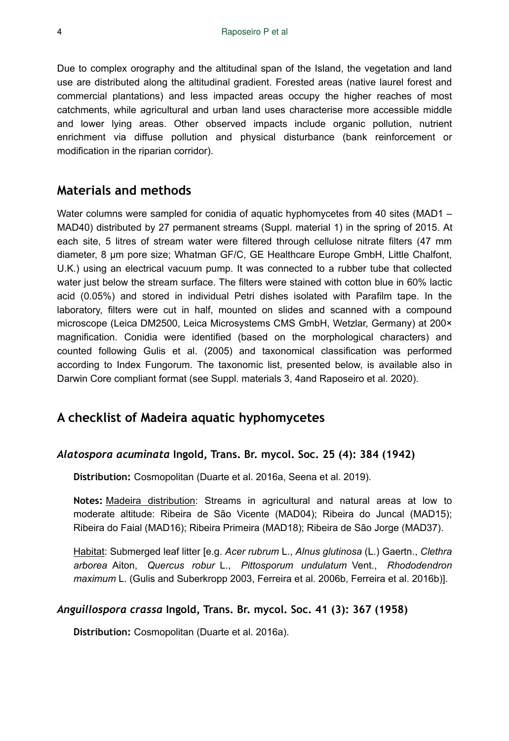Due to complex orography and the altitudinal span of the Island, the vegetation and land use are distributed along the altitudinal gradient. Forested areas (native laurel forest and commercial plantations) and less impacted areas occupy the higher reaches of most catchments, while agricultural and urban land uses characterise more accessible middle and lower lying areas. Other observed impacts include organic pollution, nutrient enrichment via diffuse pollution and physical disturbance (bank reinforcement or modification in the riparian corridor).

# **Materials and methods**

Water columns were sampled for conidia of aquatic hyphomycetes from 40 sites (MAD1 – MAD40) distributed by 27 permanent streams (Suppl. material 1) in the spring of 2015. At each site, 5 litres of stream water were filtered through cellulose nitrate filters (47 mm diameter, 8 µm pore size; Whatman GF/C, GE Healthcare Europe GmbH, Little Chalfont, U.K.) using an electrical vacuum pump. It was connected to a rubber tube that collected water just below the stream surface. The filters were stained with cotton blue in 60% lactic acid (0.05%) and stored in individual Petri dishes isolated with Parafilm tape. In the laboratory, filters were cut in half, mounted on slides and scanned with a compound microscope (Leica DM2500, Leica Microsystems CMS GmbH, Wetzlar, Germany) at 200× magnification. Conidia were identified (based on the morphological characters) and counted following Gulis et al. (2005) and taxonomical classification was performed according to Index Fungorum. The taxonomic list, presented below, is available also in Darwin Core compliant format (see Suppl. materials 3, 4and Raposeiro et al. 2020).

# **A checklist of Madeira aquatic hyphomycetes**

#### *Alatospora acuminata* **Ingold, Trans. Br. mycol. Soc. 25 (4): 384 (1942)**

**Distribution:** Cosmopolitan (Duarte et al. 2016a, Seena et al. 2019).

**Notes:** Madeira distribution: Streams in agricultural and natural areas at low to moderate altitude: Ribeira de São Vicente (MAD04); Ribeira do Juncal (MAD15); Ribeira do Faial (MAD16); Ribeira Primeira (MAD18); Ribeira de São Jorge (MAD37).

Habitat: Submerged leaf litter [e.g. *Acer rubrum* L., *Alnus glutinosa* (L.) Gaertn., *Clethra arborea* Aiton, *Quercus robur* L., *Pittosporum undulatum* Vent., *Rhododendron maximum* L. (Gulis and Suberkropp 2003, Ferreira et al. 2006b, Ferreira et al. 2016b)].

## *Anguillospora crassa* **Ingold, Trans. Br. mycol. Soc. 41 (3): 367 (1958)**

**Distribution:** Cosmopolitan (Duarte et al. 2016a).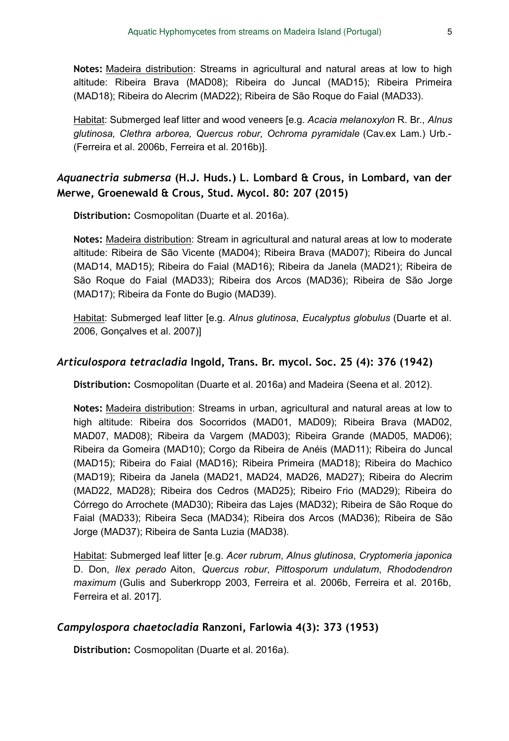**Notes:** Madeira distribution: Streams in agricultural and natural areas at low to high altitude: Ribeira Brava (MAD08); Ribeira do Juncal (MAD15); Ribeira Primeira (MAD18); Ribeira do Alecrim (MAD22); Ribeira de São Roque do Faial (MAD33).

Habitat: Submerged leaf litter and wood veneers [e.g. *Acacia melanoxylon* R. Br., *Alnus glutinosa, Clethra arborea, Quercus robur, Ochroma pyramidale* (Cav.ex Lam.) Urb.- (Ferreira et al. 2006b, Ferreira et al. 2016b)].

## *Aquanectria submersa* **(H.J. Huds.) L. Lombard & Crous, in Lombard, van der Merwe, Groenewald & Crous, Stud. Mycol. 80: 207 (2015)**

**Distribution:** Cosmopolitan (Duarte et al. 2016a).

**Notes:** Madeira distribution: Stream in agricultural and natural areas at low to moderate altitude: Ribeira de São Vicente (MAD04); Ribeira Brava (MAD07); Ribeira do Juncal (MAD14, MAD15); Ribeira do Faial (MAD16); Ribeira da Janela (MAD21); Ribeira de São Roque do Faial (MAD33); Ribeira dos Arcos (MAD36); Ribeira de São Jorge (MAD17); Ribeira da Fonte do Bugio (MAD39).

Habitat: Submerged leaf litter [e.g. *Alnus glutinosa*, *Eucalyptus globulus* (Duarte et al. 2006, Gonçalves et al. 2007)]

#### *Articulospora tetracladia* **Ingold, Trans. Br. mycol. Soc. 25 (4): 376 (1942)**

**Distribution:** Cosmopolitan (Duarte et al. 2016a) and Madeira (Seena et al. 2012).

**Notes:** Madeira distribution: Streams in urban, agricultural and natural areas at low to high altitude: Ribeira dos Socorridos (MAD01, MAD09); Ribeira Brava (MAD02, MAD07, MAD08); Ribeira da Vargem (MAD03); Ribeira Grande (MAD05, MAD06); Ribeira da Gomeira (MAD10); Corgo da Ribeira de Anéis (MAD11); Ribeira do Juncal (MAD15); Ribeira do Faial (MAD16); Ribeira Primeira (MAD18); Ribeira do Machico (MAD19); Ribeira da Janela (MAD21, MAD24, MAD26, MAD27); Ribeira do Alecrim (MAD22, MAD28); Ribeira dos Cedros (MAD25); Ribeiro Frio (MAD29); Ribeira do Córrego do Arrochete (MAD30); Ribeira das Lajes (MAD32); Ribeira de São Roque do Faial (MAD33); Ribeira Seca (MAD34); Ribeira dos Arcos (MAD36); Ribeira de São Jorge (MAD37); Ribeira de Santa Luzia (MAD38).

Habitat: Submerged leaf litter [e.g. *Acer rubrum*, *Alnus glutinosa*, *Cryptomeria japonica* D. Don, *Ilex perado* Aiton, *Quercus robur*, *Pittosporum undulatum*, *Rhododendron maximum* (Gulis and Suberkropp 2003, Ferreira et al. 2006b, Ferreira et al. 2016b, Ferreira et al. 2017].

## *Campylospora chaetocladia* **Ranzoni, Farlowia 4(3): 373 (1953)**

**Distribution:** Cosmopolitan (Duarte et al. 2016a).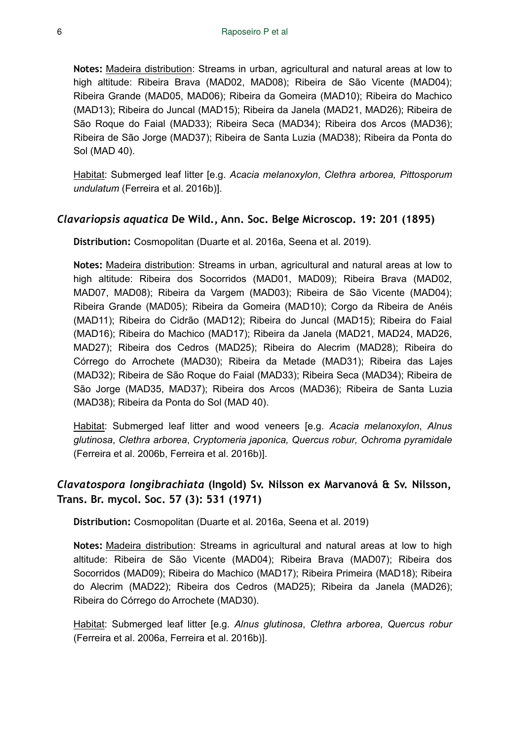**Notes:** Madeira distribution: Streams in urban, agricultural and natural areas at low to high altitude: Ribeira Brava (MAD02, MAD08); Ribeira de São Vicente (MAD04); Ribeira Grande (MAD05, MAD06); Ribeira da Gomeira (MAD10); Ribeira do Machico (MAD13); Ribeira do Juncal (MAD15); Ribeira da Janela (MAD21, MAD26); Ribeira de São Roque do Faial (MAD33); Ribeira Seca (MAD34); Ribeira dos Arcos (MAD36); Ribeira de São Jorge (MAD37); Ribeira de Santa Luzia (MAD38); Ribeira da Ponta do Sol (MAD 40).

Habitat: Submerged leaf litter [e.g. *Acacia melanoxylon*, *Clethra arborea, Pittosporum undulatum* (Ferreira et al. 2016b)].

#### *Clavariopsis aquatica* **De Wild., Ann. Soc. Belge Microscop. 19: 201 (1895)**

**Distribution:** Cosmopolitan (Duarte et al. 2016a, Seena et al. 2019).

**Notes:** Madeira distribution: Streams in urban, agricultural and natural areas at low to high altitude: Ribeira dos Socorridos (MAD01, MAD09); Ribeira Brava (MAD02, MAD07, MAD08); Ribeira da Vargem (MAD03); Ribeira de São Vicente (MAD04); Ribeira Grande (MAD05); Ribeira da Gomeira (MAD10); Corgo da Ribeira de Anéis (MAD11); Ribeira do Cidrão (MAD12); Ribeira do Juncal (MAD15); Ribeira do Faial (MAD16); Ribeira do Machico (MAD17); Ribeira da Janela (MAD21, MAD24, MAD26, MAD27); Ribeira dos Cedros (MAD25); Ribeira do Alecrim (MAD28); Ribeira do Córrego do Arrochete (MAD30); Ribeira da Metade (MAD31); Ribeira das Lajes (MAD32); Ribeira de São Roque do Faial (MAD33); Ribeira Seca (MAD34); Ribeira de São Jorge (MAD35, MAD37); Ribeira dos Arcos (MAD36); Ribeira de Santa Luzia (MAD38); Ribeira da Ponta do Sol (MAD 40).

Habitat: Submerged leaf litter and wood veneers [e.g. *Acacia melanoxylon*, *Alnus glutinosa*, *Clethra arborea*, *Cryptomeria japonica, Quercus robur, Ochroma pyramidale* (Ferreira et al. 2006b, Ferreira et al. 2016b)].

## *Clavatospora longibrachiata* **(Ingold) Sv. Nilsson ex Marvanová & Sv. Nilsson, Trans. Br. mycol. Soc. 57 (3): 531 (1971)**

**Distribution:** Cosmopolitan (Duarte et al. 2016a, Seena et al. 2019)

**Notes:** Madeira distribution: Streams in agricultural and natural areas at low to high altitude: Ribeira de São Vicente (MAD04); Ribeira Brava (MAD07); Ribeira dos Socorridos (MAD09); Ribeira do Machico (MAD17); Ribeira Primeira (MAD18); Ribeira do Alecrim (MAD22); Ribeira dos Cedros (MAD25); Ribeira da Janela (MAD26); Ribeira do Córrego do Arrochete (MAD30).

Habitat: Submerged leaf litter [e.g. *Alnus glutinosa*, *Clethra arborea*, *Quercus robur* (Ferreira et al. 2006a, Ferreira et al. 2016b)].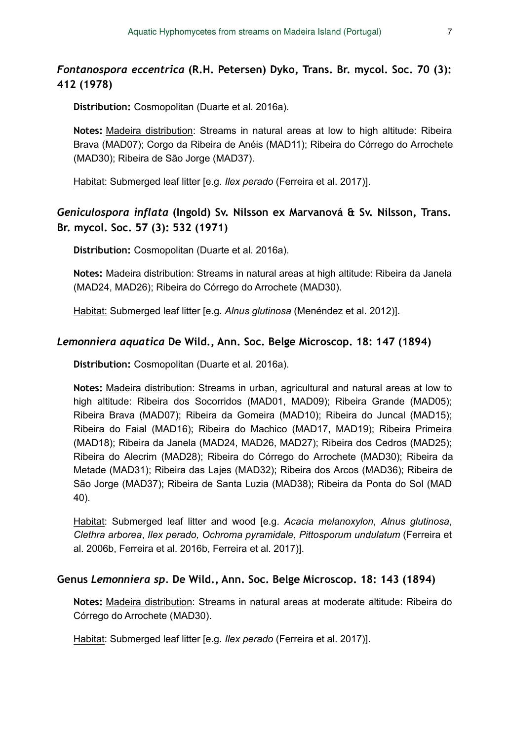## *Fontanospora eccentrica* **(R.H. Petersen) Dyko, Trans. Br. mycol. Soc. 70 (3): 412 (1978)**

**Distribution:** Cosmopolitan (Duarte et al. 2016a).

**Notes:** Madeira distribution: Streams in natural areas at low to high altitude: Ribeira Brava (MAD07); Corgo da Ribeira de Anéis (MAD11); Ribeira do Córrego do Arrochete (MAD30); Ribeira de São Jorge (MAD37).

Habitat: Submerged leaf litter [e.g. *Ilex perado* (Ferreira et al. 2017)].

## *Geniculospora inflata* **(Ingold) Sv. Nilsson ex Marvanová & Sv. Nilsson, Trans. Br. mycol. Soc. 57 (3): 532 (1971)**

**Distribution:** Cosmopolitan (Duarte et al. 2016a).

**Notes:** Madeira distribution: Streams in natural areas at high altitude: Ribeira da Janela (MAD24, MAD26); Ribeira do Córrego do Arrochete (MAD30).

Habitat: Submerged leaf litter [e.g. *Alnus glutinosa* (Menéndez et al. 2012)].

#### *Lemonniera aquatica* **De Wild., Ann. Soc. Belge Microscop. 18: 147 (1894)**

**Distribution:** Cosmopolitan (Duarte et al. 2016a).

**Notes:** Madeira distribution: Streams in urban, agricultural and natural areas at low to high altitude: Ribeira dos Socorridos (MAD01, MAD09); Ribeira Grande (MAD05); Ribeira Brava (MAD07); Ribeira da Gomeira (MAD10); Ribeira do Juncal (MAD15); Ribeira do Faial (MAD16); Ribeira do Machico (MAD17, MAD19); Ribeira Primeira (MAD18); Ribeira da Janela (MAD24, MAD26, MAD27); Ribeira dos Cedros (MAD25); Ribeira do Alecrim (MAD28); Ribeira do Córrego do Arrochete (MAD30); Ribeira da Metade (MAD31); Ribeira das Lajes (MAD32); Ribeira dos Arcos (MAD36); Ribeira de São Jorge (MAD37); Ribeira de Santa Luzia (MAD38); Ribeira da Ponta do Sol (MAD 40).

Habitat: Submerged leaf litter and wood [e.g. *Acacia melanoxylon*, *Alnus glutinosa*, *Clethra arborea*, *Ilex perado, Ochroma pyramidale*, *Pittosporum undulatum* (Ferreira et al. 2006b, Ferreira et al. 2016b, Ferreira et al. 2017)].

#### **Genus** *Lemonniera sp.* **De Wild., Ann. Soc. Belge Microscop. 18: 143 (1894)**

**Notes:** Madeira distribution: Streams in natural areas at moderate altitude: Ribeira do Córrego do Arrochete (MAD30).

Habitat: Submerged leaf litter [e.g. *Ilex perado* (Ferreira et al. 2017)].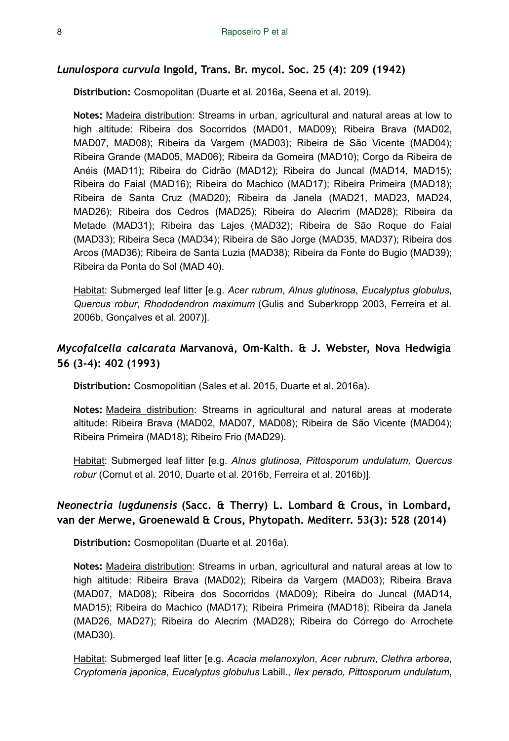#### *Lunulospora curvula* **Ingold, Trans. Br. mycol. Soc. 25 (4): 209 (1942)**

**Distribution:** Cosmopolitan (Duarte et al. 2016a, Seena et al. 2019).

**Notes:** Madeira distribution: Streams in urban, agricultural and natural areas at low to high altitude: Ribeira dos Socorridos (MAD01, MAD09); Ribeira Brava (MAD02, MAD07, MAD08); Ribeira da Vargem (MAD03); Ribeira de São Vicente (MAD04); Ribeira Grande (MAD05, MAD06); Ribeira da Gomeira (MAD10); Corgo da Ribeira de Anéis (MAD11); Ribeira do Cidrão (MAD12); Ribeira do Juncal (MAD14, MAD15); Ribeira do Faial (MAD16); Ribeira do Machico (MAD17); Ribeira Primeira (MAD18); Ribeira de Santa Cruz (MAD20); Ribeira da Janela (MAD21, MAD23, MAD24, MAD26); Ribeira dos Cedros (MAD25); Ribeira do Alecrim (MAD28); Ribeira da Metade (MAD31); Ribeira das Lajes (MAD32); Ribeira de São Roque do Faial (MAD33); Ribeira Seca (MAD34); Ribeira de São Jorge (MAD35, MAD37); Ribeira dos Arcos (MAD36); Ribeira de Santa Luzia (MAD38); Ribeira da Fonte do Bugio (MAD39); Ribeira da Ponta do Sol (MAD 40).

Habitat: Submerged leaf litter [e.g. *Acer rubrum*, *Alnus glutinosa*, *Eucalyptus globulus*, *Quercus robur*, *Rhododendron maximum* (Gulis and Suberkropp 2003, Ferreira et al. 2006b, Gonçalves et al. 2007)].

## *Mycofalcella calcarata* **Marvanová, Om-Kalth. & J. Webster, Nova Hedwigia 56 (3-4): 402 (1993)**

**Distribution:** Cosmopolitian (Sales et al. 2015, Duarte et al. 2016a).

**Notes:** Madeira distribution: Streams in agricultural and natural areas at moderate altitude: Ribeira Brava (MAD02, MAD07, MAD08); Ribeira de São Vicente (MAD04); Ribeira Primeira (MAD18); Ribeiro Frio (MAD29).

Habitat: Submerged leaf litter [e.g. *Alnus glutinosa*, *Pittosporum undulatum, Quercus robur* (Cornut et al. 2010, Duarte et al. 2016b, Ferreira et al. 2016b)].

## *Neonectria lugdunensis* **(Sacc. & Therry) L. Lombard & Crous, in Lombard, van der Merwe, Groenewald & Crous, Phytopath. Mediterr. 53(3): 528 (2014)**

**Distribution:** Cosmopolitan (Duarte et al. 2016a).

**Notes:** Madeira distribution: Streams in urban, agricultural and natural areas at low to high altitude: Ribeira Brava (MAD02); Ribeira da Vargem (MAD03); Ribeira Brava (MAD07, MAD08); Ribeira dos Socorridos (MAD09); Ribeira do Juncal (MAD14, MAD15); Ribeira do Machico (MAD17); Ribeira Primeira (MAD18); Ribeira da Janela (MAD26, MAD27); Ribeira do Alecrim (MAD28); Ribeira do Córrego do Arrochete (MAD30).

Habitat: Submerged leaf litter [e.g. *Acacia melanoxylon*, *Acer rubrum*, *Clethra arborea*, *Cryptomeria japonica*, *Eucalyptus globulus* Labill., *Ilex perado, Pittosporum undulatum*,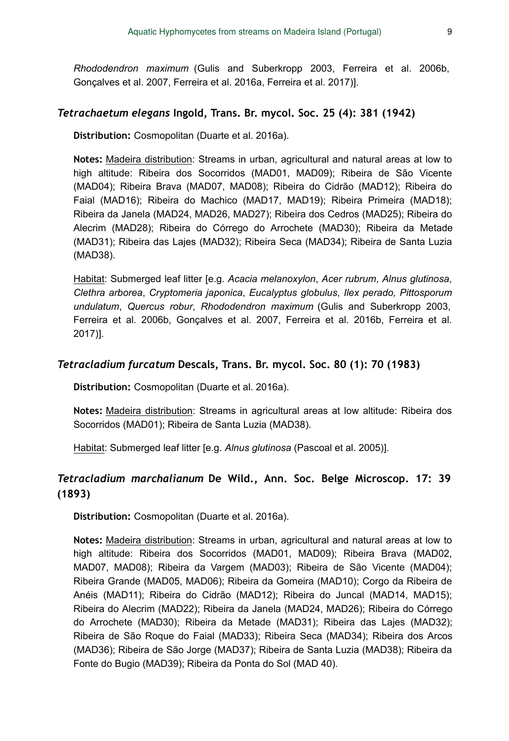*Rhododendron maximum* (Gulis and Suberkropp 2003, Ferreira et al. 2006b, Gonçalves et al. 2007, Ferreira et al. 2016a, Ferreira et al. 2017)].

#### *Tetrachaetum elegans* **Ingold, Trans. Br. mycol. Soc. 25 (4): 381 (1942)**

**Distribution:** Cosmopolitan (Duarte et al. 2016a).

**Notes:** Madeira distribution: Streams in urban, agricultural and natural areas at low to high altitude: Ribeira dos Socorridos (MAD01, MAD09); Ribeira de São Vicente (MAD04); Ribeira Brava (MAD07, MAD08); Ribeira do Cidrão (MAD12); Ribeira do Faial (MAD16); Ribeira do Machico (MAD17, MAD19); Ribeira Primeira (MAD18); Ribeira da Janela (MAD24, MAD26, MAD27); Ribeira dos Cedros (MAD25); Ribeira do Alecrim (MAD28); Ribeira do Córrego do Arrochete (MAD30); Ribeira da Metade (MAD31); Ribeira das Lajes (MAD32); Ribeira Seca (MAD34); Ribeira de Santa Luzia (MAD38).

Habitat: Submerged leaf litter [e.g. *Acacia melanoxylon*, *Acer rubrum*, *Alnus glutinosa*, *Clethra arborea*, *Cryptomeria japonica*, *Eucalyptus globulus*, *Ilex perado, Pittosporum undulatum*, *Quercus robur*, *Rhododendron maximum* (Gulis and Suberkropp 2003, Ferreira et al. 2006b, Gonçalves et al. 2007, Ferreira et al. 2016b, Ferreira et al. 2017)].

#### *Tetracladium furcatum* **Descals, Trans. Br. mycol. Soc. 80 (1): 70 (1983)**

**Distribution:** Cosmopolitan (Duarte et al. 2016a).

**Notes:** Madeira distribution: Streams in agricultural areas at low altitude: Ribeira dos Socorridos (MAD01); Ribeira de Santa Luzia (MAD38).

Habitat: Submerged leaf litter [e.g. *Alnus glutinosa* (Pascoal et al. 2005)].

## *Tetracladium marchalianum* **De Wild., Ann. Soc. Belge Microscop. 17: 39 (1893)**

**Distribution:** Cosmopolitan (Duarte et al. 2016a).

**Notes:** Madeira distribution: Streams in urban, agricultural and natural areas at low to high altitude: Ribeira dos Socorridos (MAD01, MAD09); Ribeira Brava (MAD02, MAD07, MAD08); Ribeira da Vargem (MAD03); Ribeira de São Vicente (MAD04); Ribeira Grande (MAD05, MAD06); Ribeira da Gomeira (MAD10); Corgo da Ribeira de Anéis (MAD11); Ribeira do Cidrão (MAD12); Ribeira do Juncal (MAD14, MAD15); Ribeira do Alecrim (MAD22); Ribeira da Janela (MAD24, MAD26); Ribeira do Córrego do Arrochete (MAD30); Ribeira da Metade (MAD31); Ribeira das Lajes (MAD32); Ribeira de São Roque do Faial (MAD33); Ribeira Seca (MAD34); Ribeira dos Arcos (MAD36); Ribeira de São Jorge (MAD37); Ribeira de Santa Luzia (MAD38); Ribeira da Fonte do Bugio (MAD39); Ribeira da Ponta do Sol (MAD 40).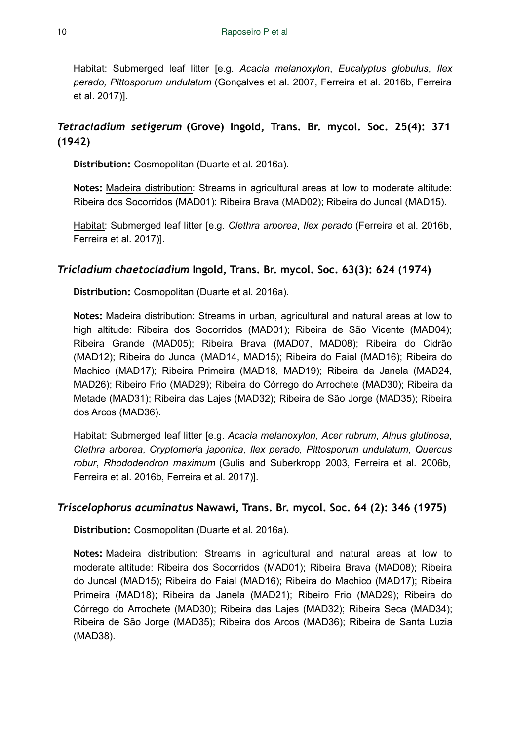Habitat: Submerged leaf litter [e.g. *Acacia melanoxylon*, *Eucalyptus globulus*, *Ilex perado, Pittosporum undulatum* (Gonçalves et al. 2007, Ferreira et al. 2016b, Ferreira et al. 2017)].

## *Tetracladium setigerum* **(Grove) Ingold, Trans. Br. mycol. Soc. 25(4): 371 (1942)**

**Distribution:** Cosmopolitan (Duarte et al. 2016a).

**Notes:** Madeira distribution: Streams in agricultural areas at low to moderate altitude: Ribeira dos Socorridos (MAD01); Ribeira Brava (MAD02); Ribeira do Juncal (MAD15).

Habitat: Submerged leaf litter [e.g. *Clethra arborea*, *Ilex perado* (Ferreira et al. 2016b, Ferreira et al. 2017)].

## *Tricladium chaetocladium* **Ingold, Trans. Br. mycol. Soc. 63(3): 624 (1974)**

**Distribution:** Cosmopolitan (Duarte et al. 2016a).

**Notes:** Madeira distribution: Streams in urban, agricultural and natural areas at low to high altitude: Ribeira dos Socorridos (MAD01); Ribeira de São Vicente (MAD04); Ribeira Grande (MAD05); Ribeira Brava (MAD07, MAD08); Ribeira do Cidrão (MAD12); Ribeira do Juncal (MAD14, MAD15); Ribeira do Faial (MAD16); Ribeira do Machico (MAD17); Ribeira Primeira (MAD18, MAD19); Ribeira da Janela (MAD24, MAD26); Ribeiro Frio (MAD29); Ribeira do Córrego do Arrochete (MAD30); Ribeira da Metade (MAD31); Ribeira das Lajes (MAD32); Ribeira de São Jorge (MAD35); Ribeira dos Arcos (MAD36).

Habitat: Submerged leaf litter [e.g. *Acacia melanoxylon*, *Acer rubrum*, *Alnus glutinosa*, *Clethra arborea*, *Cryptomeria japonica*, *Ilex perado, Pittosporum undulatum*, *Quercus robur*, *Rhododendron maximum* (Gulis and Suberkropp 2003, Ferreira et al. 2006b, Ferreira et al. 2016b, Ferreira et al. 2017)].

## *Triscelophorus acuminatus* **Nawawi, Trans. Br. mycol. Soc. 64 (2): 346 (1975)**

**Distribution:** Cosmopolitan (Duarte et al. 2016a).

**Notes:** Madeira distribution: Streams in agricultural and natural areas at low to moderate altitude: Ribeira dos Socorridos (MAD01); Ribeira Brava (MAD08); Ribeira do Juncal (MAD15); Ribeira do Faial (MAD16); Ribeira do Machico (MAD17); Ribeira Primeira (MAD18); Ribeira da Janela (MAD21); Ribeiro Frio (MAD29); Ribeira do Córrego do Arrochete (MAD30); Ribeira das Lajes (MAD32); Ribeira Seca (MAD34); Ribeira de São Jorge (MAD35); Ribeira dos Arcos (MAD36); Ribeira de Santa Luzia (MAD38).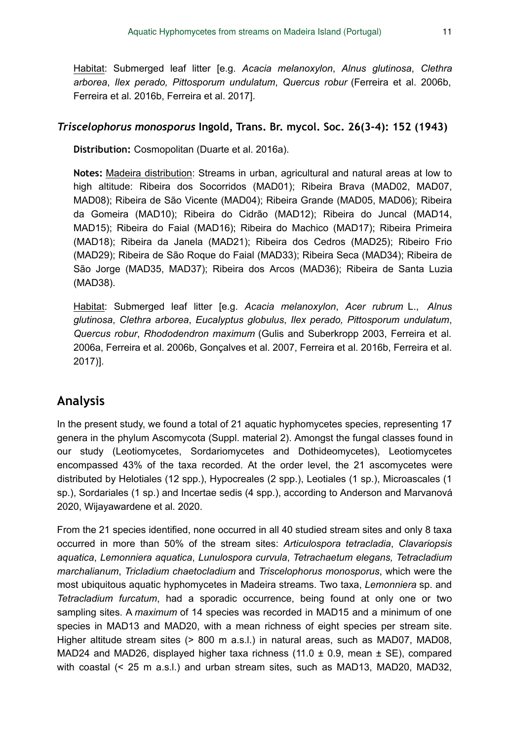Habitat: Submerged leaf litter [e.g. *Acacia melanoxylon*, *Alnus glutinosa*, *Clethra arborea*, *Ilex perado, Pittosporum undulatum*, *Quercus robur* (Ferreira et al. 2006b, Ferreira et al. 2016b, Ferreira et al. 2017].

#### *Triscelophorus monosporus* **Ingold, Trans. Br. mycol. Soc. 26(3-4): 152 (1943)**

**Distribution:** Cosmopolitan (Duarte et al. 2016a).

**Notes:** Madeira distribution: Streams in urban, agricultural and natural areas at low to high altitude: Ribeira dos Socorridos (MAD01); Ribeira Brava (MAD02, MAD07, MAD08); Ribeira de São Vicente (MAD04); Ribeira Grande (MAD05, MAD06); Ribeira da Gomeira (MAD10); Ribeira do Cidrão (MAD12); Ribeira do Juncal (MAD14, MAD15); Ribeira do Faial (MAD16); Ribeira do Machico (MAD17); Ribeira Primeira (MAD18); Ribeira da Janela (MAD21); Ribeira dos Cedros (MAD25); Ribeiro Frio (MAD29); Ribeira de São Roque do Faial (MAD33); Ribeira Seca (MAD34); Ribeira de São Jorge (MAD35, MAD37); Ribeira dos Arcos (MAD36); Ribeira de Santa Luzia (MAD38).

Habitat: Submerged leaf litter [e.g. *Acacia melanoxylon*, *Acer rubrum* L., *Alnus glutinosa*, *Clethra arborea*, *Eucalyptus globulus*, *Ilex perado, Pittosporum undulatum*, *Quercus robur*, *Rhododendron maximum* (Gulis and Suberkropp 2003, Ferreira et al. 2006a, Ferreira et al. 2006b, Gonçalves et al. 2007, Ferreira et al. 2016b, Ferreira et al. 2017)].

# **Analysis**

In the present study, we found a total of 21 aquatic hyphomycetes species, representing 17 genera in the phylum Ascomycota (Suppl. material 2). Amongst the fungal classes found in our study (Leotiomycetes, Sordariomycetes and Dothideomycetes), Leotiomycetes encompassed 43% of the taxa recorded. At the order level, the 21 ascomycetes were distributed by Helotiales (12 spp.), Hypocreales (2 spp.), Leotiales (1 sp.), Microascales (1 sp.), Sordariales (1 sp.) and Incertae sedis (4 spp.), according to Anderson and Marvanová 2020, Wijayawardene et al. 2020.

From the 21 species identified, none occurred in all 40 studied stream sites and only 8 taxa occurred in more than 50% of the stream sites: *Articulospora tetracladia*, *Clavariopsis aquatica*, *Lemonniera aquatica*, *Lunulospora curvula*, *Tetrachaetum elegans, Tetracladium marchalianum*, *Tricladium chaetocladium* and *Triscelophorus monosporus*, which were the most ubiquitous aquatic hyphomycetes in Madeira streams. Two taxa, *Lemonniera* sp. and *Tetracladium furcatum*, had a sporadic occurrence, being found at only one or two sampling sites. A *maximum* of 14 species was recorded in MAD15 and a minimum of one species in MAD13 and MAD20, with a mean richness of eight species per stream site. Higher altitude stream sites (> 800 m a.s.l.) in natural areas, such as MAD07, MAD08, MAD24 and MAD26, displayed higher taxa richness  $(11.0 \pm 0.9, \text{mean } \pm \text{SE})$ , compared with coastal (< 25 m a.s.l.) and urban stream sites, such as MAD13, MAD20, MAD32,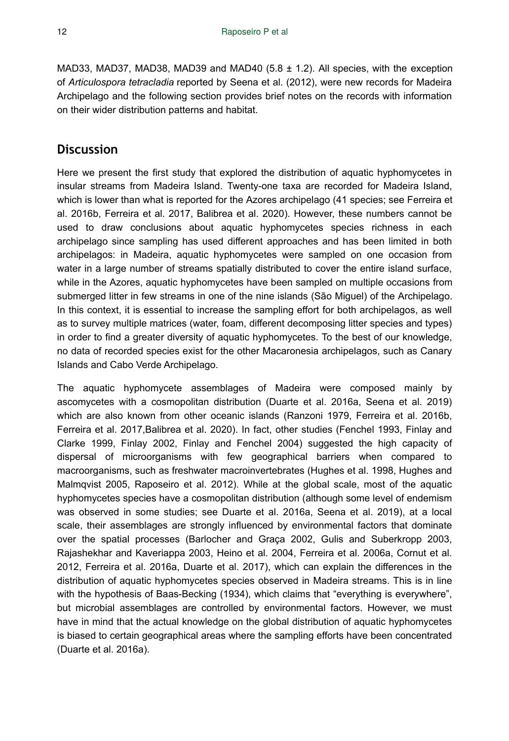MAD33, MAD37, MAD38, MAD39 and MAD40  $(5.8 \pm 1.2)$ . All species, with the exception of *Articulospora tetracladia* reported by Seena et al. (2012), were new records for Madeira Archipelago and the following section provides brief notes on the records with information on their wider distribution patterns and habitat.

## **Discussion**

Here we present the first study that explored the distribution of aquatic hyphomycetes in insular streams from Madeira Island. Twenty-one taxa are recorded for Madeira Island, which is lower than what is reported for the Azores archipelago (41 species; see Ferreira et al. 2016b, Ferreira et al. 2017, Balibrea et al. 2020). However, these numbers cannot be used to draw conclusions about aquatic hyphomycetes species richness in each archipelago since sampling has used different approaches and has been limited in both archipelagos: in Madeira, aquatic hyphomycetes were sampled on one occasion from water in a large number of streams spatially distributed to cover the entire island surface, while in the Azores, aquatic hyphomycetes have been sampled on multiple occasions from submerged litter in few streams in one of the nine islands (São Miguel) of the Archipelago. In this context, it is essential to increase the sampling effort for both archipelagos, as well as to survey multiple matrices (water, foam, different decomposing litter species and types) in order to find a greater diversity of aquatic hyphomycetes. To the best of our knowledge, no data of recorded species exist for the other Macaronesia archipelagos, such as Canary Islands and Cabo Verde Archipelago.

The aquatic hyphomycete assemblages of Madeira were composed mainly by ascomycetes with a cosmopolitan distribution (Duarte et al. 2016a, Seena et al. 2019) which are also known from other oceanic islands (Ranzoni 1979, Ferreira et al. 2016b, Ferreira et al. 2017,Balibrea et al. 2020). In fact, other studies (Fenchel 1993, Finlay and Clarke 1999, Finlay 2002, Finlay and Fenchel 2004) suggested the high capacity of dispersal of microorganisms with few geographical barriers when compared to macroorganisms, such as freshwater macroinvertebrates (Hughes et al. 1998, Hughes and Malmqvist 2005, Raposeiro et al. 2012). While at the global scale, most of the aquatic hyphomycetes species have a cosmopolitan distribution (although some level of endemism was observed in some studies; see Duarte et al. 2016a, Seena et al. 2019), at a local scale, their assemblages are strongly influenced by environmental factors that dominate over the spatial processes (Barlocher and Graça 2002, Gulis and Suberkropp 2003, Rajashekhar and Kaveriappa 2003, Heino et al. 2004, Ferreira et al. 2006a, Cornut et al. 2012, Ferreira et al. 2016a, Duarte et al. 2017), which can explain the differences in the distribution of aquatic hyphomycetes species observed in Madeira streams. This is in line with the hypothesis of Baas-Becking (1934), which claims that "everything is everywhere", but microbial assemblages are controlled by environmental factors. However, we must have in mind that the actual knowledge on the global distribution of aquatic hyphomycetes is biased to certain geographical areas where the sampling efforts have been concentrated (Duarte et al. 2016a).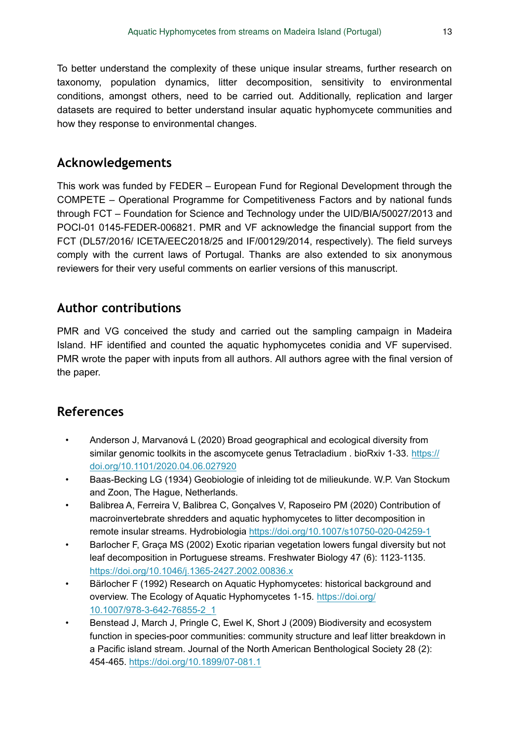To better understand the complexity of these unique insular streams, further research on taxonomy, population dynamics, litter decomposition, sensitivity to environmental conditions, amongst others, need to be carried out. Additionally, replication and larger datasets are required to better understand insular aquatic hyphomycete communities and how they response to environmental changes.

# **Acknowledgements**

This work was funded by FEDER – European Fund for Regional Development through the COMPETE – Operational Programme for Competitiveness Factors and by national funds through FCT – Foundation for Science and Technology under the UID/BIA/50027/2013 and POCI-01 0145-FEDER-006821. PMR and VF acknowledge the financial support from the FCT (DL57/2016/ ICETA/EEC2018/25 and IF/00129/2014, respectively). The field surveys comply with the current laws of Portugal. Thanks are also extended to six anonymous reviewers for their very useful comments on earlier versions of this manuscript.

# **Author contributions**

PMR and VG conceived the study and carried out the sampling campaign in Madeira Island. HF identified and counted the aquatic hyphomycetes conidia and VF supervised. PMR wrote the paper with inputs from all authors. All authors agree with the final version of the paper.

# **References**

- Anderson J, Marvanová L (2020) Broad geographical and ecological diversity from similar genomic toolkits in the ascomycete genus Tetracladium . bioRxiv 1-33. [https://](https://doi.org/10.1101/2020.04.06.027920) [doi.org/10.1101/2020.04.06.027920](https://doi.org/10.1101/2020.04.06.027920)
- Baas-Becking LG (1934) Geobiologie of inleiding tot de milieukunde. W.P. Van Stockum and Zoon, The Hague, Netherlands.
- Balibrea A, Ferreira V, Balibrea C, Gonçalves V, Raposeiro PM (2020) Contribution of macroinvertebrate shredders and aquatic hyphomycetes to litter decomposition in remote insular streams. Hydrobiologia <https://doi.org/10.1007/s10750-020-04259-1>
- Barlocher F, Graça MS (2002) Exotic riparian vegetation lowers fungal diversity but not leaf decomposition in Portuguese streams. Freshwater Biology 47 (6): 1123-1135. <https://doi.org/10.1046/j.1365-2427.2002.00836.x>
- Bärlocher F (1992) Research on Aquatic Hyphomycetes: historical background and overview. The Ecology of Aquatic Hyphomycetes 1-15. [https://doi.org/](https://doi.org/10.1007/978-3-642-76855-2_1) [10.1007/978-3-642-76855-2\\_1](https://doi.org/10.1007/978-3-642-76855-2_1)
- Benstead J, March J, Pringle C, Ewel K, Short J (2009) Biodiversity and ecosystem function in species-poor communities: community structure and leaf litter breakdown in a Pacific island stream. Journal of the North American Benthological Society 28 (2): 454‑465. <https://doi.org/10.1899/07-081.1>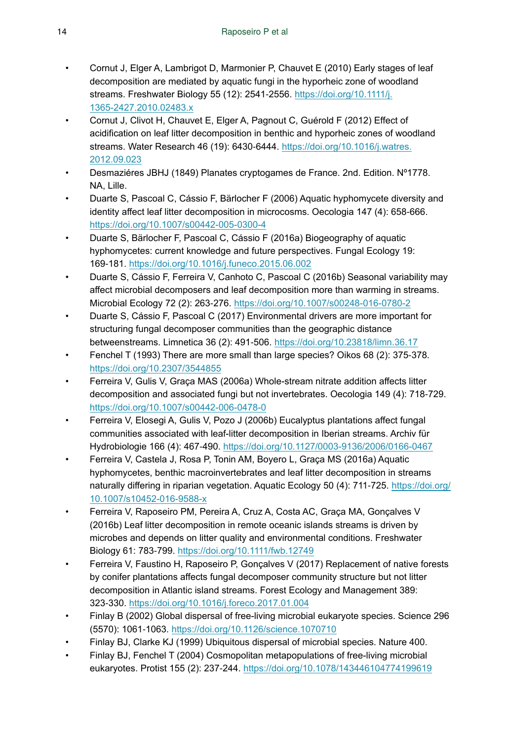- Cornut J, Elger A, Lambrigot D, Marmonier P, Chauvet E (2010) Early stages of leaf decomposition are mediated by aquatic fungi in the hyporheic zone of woodland streams. Freshwater Biology 55 (12): 2541‑2556. [https://doi.org/10.1111/j.](https://doi.org/10.1111/j.1365-2427.2010.02483.x) [1365-2427.2010.02483.x](https://doi.org/10.1111/j.1365-2427.2010.02483.x)
- Cornut J, Clivot H, Chauvet E, Elger A, Pagnout C, Guérold F (2012) Effect of acidification on leaf litter decomposition in benthic and hyporheic zones of woodland streams. Water Research 46 (19): 6430-6444. [https://doi.org/10.1016/j.watres.](https://doi.org/10.1016/j.watres.2012.09.023) [2012.09.023](https://doi.org/10.1016/j.watres.2012.09.023)
- Desmaziéres JBHJ (1849) Planates cryptogames de France. 2nd. Edition. Nº1778. NA, Lille.
- Duarte S, Pascoal C, Cássio F, Bärlocher F (2006) Aquatic hyphomycete diversity and identity affect leaf litter decomposition in microcosms. Oecologia 147 (4): 658-666. <https://doi.org/10.1007/s00442-005-0300-4>
- Duarte S, Bärlocher F, Pascoal C, Cássio F (2016a) Biogeography of aquatic hyphomycetes: current knowledge and future perspectives. Fungal Ecology 19: 169‑181. <https://doi.org/10.1016/j.funeco.2015.06.002>
- Duarte S, Cássio F, Ferreira V, Canhoto C, Pascoal C (2016b) Seasonal variability may affect microbial decomposers and leaf decomposition more than warming in streams. Microbial Ecology 72 (2): 263‑276. <https://doi.org/10.1007/s00248-016-0780-2>
- Duarte S, Cássio F, Pascoal C (2017) Environmental drivers are more important for structuring fungal decomposer communities than the geographic distance betweenstreams. Limnetica 36 (2): 491‑506.<https://doi.org/10.23818/limn.36.17>
- Fenchel T (1993) There are more small than large species? Oikos 68 (2): 375‑378. <https://doi.org/10.2307/3544855>
- Ferreira V, Gulis V, Graça MAS (2006a) Whole-stream nitrate addition affects litter decomposition and associated fungi but not invertebrates. Oecologia 149 (4): 718‑729. <https://doi.org/10.1007/s00442-006-0478-0>
- Ferreira V, Elosegi A, Gulis V, Pozo J (2006b) Eucalyptus plantations affect fungal communities associated with leaf-litter decomposition in Iberian streams. Archiv für Hydrobiologie 166 (4): 467‑490.<https://doi.org/10.1127/0003-9136/2006/0166-0467>
- Ferreira V, Castela J, Rosa P, Tonin AM, Boyero L, Graça MS (2016a) Aquatic hyphomycetes, benthic macroinvertebrates and leaf litter decomposition in streams naturally differing in riparian vegetation. Aquatic Ecology 50 (4): 711-725. [https://doi.org/](https://doi.org/10.1007/s10452-016-9588-x) [10.1007/s10452-016-9588-x](https://doi.org/10.1007/s10452-016-9588-x)
- Ferreira V, Raposeiro PM, Pereira A, Cruz A, Costa AC, Graça MA, Gonçalves V (2016b) Leaf litter decomposition in remote oceanic islands streams is driven by microbes and depends on litter quality and environmental conditions. Freshwater Biology 61: 783‑799.<https://doi.org/10.1111/fwb.12749>
- Ferreira V, Faustino H, Raposeiro P, Gonçalves V (2017) Replacement of native forests by conifer plantations affects fungal decomposer community structure but not litter decomposition in Atlantic island streams. Forest Ecology and Management 389: 323‑330. <https://doi.org/10.1016/j.foreco.2017.01.004>
- Finlay B (2002) Global dispersal of free-living microbial eukaryote species. Science 296 (5570): 1061‑1063. <https://doi.org/10.1126/science.1070710>
- Finlay BJ, Clarke KJ (1999) Ubiquitous dispersal of microbial species. Nature 400.
- Finlay BJ, Fenchel T (2004) Cosmopolitan metapopulations of free-living microbial eukaryotes. Protist 155 (2): 237‑244. <https://doi.org/10.1078/143446104774199619>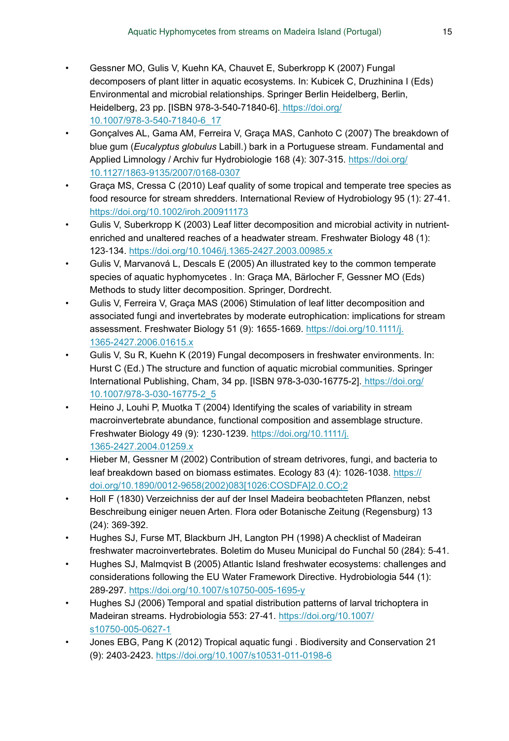- Gessner MO, Gulis V, Kuehn KA, Chauvet E, Suberkropp K (2007) Fungal decomposers of plant litter in aquatic ecosystems. In: Kubicek C, Druzhinina I (Eds) Environmental and microbial relationships. Springer Berlin Heidelberg, Berlin, Heidelberg, 23 pp. [ISBN 978-3-540-71840-6][. https://doi.org/](https://doi.org/10.1007/978-3-540-71840-6_17) [10.1007/978-3-540-71840-6\\_17](https://doi.org/10.1007/978-3-540-71840-6_17)
- Gonçalves AL, Gama AM, Ferreira V, Graça MAS, Canhoto C (2007) The breakdown of blue gum (*Eucalyptus globulus* Labill.) bark in a Portuguese stream. Fundamental and Applied Limnology / Archiv fur Hydrobiologie 168 (4): 307-315. [https://doi.org/](https://doi.org/10.1127/1863-9135/2007/0168-0307) [10.1127/1863-9135/2007/0168-0307](https://doi.org/10.1127/1863-9135/2007/0168-0307)
- Graça MS, Cressa C (2010) Leaf quality of some tropical and temperate tree species as food resource for stream shredders. International Review of Hydrobiology 95 (1): 27‑41. <https://doi.org/10.1002/iroh.200911173>
- Gulis V, Suberkropp K (2003) Leaf litter decomposition and microbial activity in nutrientenriched and unaltered reaches of a headwater stream. Freshwater Biology 48 (1): 123‑134. <https://doi.org/10.1046/j.1365-2427.2003.00985.x>
- Gulis V, Marvanová L, Descals E (2005) An illustrated key to the common temperate species of aquatic hyphomycetes . In: Graça MA, Bärlocher F, Gessner MO (Eds) Methods to study litter decomposition. Springer, Dordrecht.
- Gulis V, Ferreira V, Graça MAS (2006) Stimulation of leaf litter decomposition and associated fungi and invertebrates by moderate eutrophication: implications for stream assessment. Freshwater Biology 51 (9): 1655‑1669. [https://doi.org/10.1111/j.](https://doi.org/10.1111/j.1365-2427.2006.01615.x) [1365-2427.2006.01615.x](https://doi.org/10.1111/j.1365-2427.2006.01615.x)
- Gulis V, Su R, Kuehn K (2019) Fungal decomposers in freshwater environments. In: Hurst C (Ed.) The structure and function of aquatic microbial communities. Springer International Publishing, Cham, 34 pp. [ISBN 978-3-030-16775-2][. https://doi.org/](https://doi.org/10.1007/978-3-030-16775-2_5) [10.1007/978-3-030-16775-2\\_5](https://doi.org/10.1007/978-3-030-16775-2_5)
- Heino J, Louhi P, Muotka T (2004) Identifying the scales of variability in stream macroinvertebrate abundance, functional composition and assemblage structure. Freshwater Biology 49 (9): 1230‑1239. [https://doi.org/10.1111/j.](https://doi.org/10.1111/j.1365-2427.2004.01259.x) [1365-2427.2004.01259.x](https://doi.org/10.1111/j.1365-2427.2004.01259.x)
- Hieber M, Gessner M (2002) Contribution of stream detrivores, fungi, and bacteria to leaf breakdown based on biomass estimates. Ecology 83 (4): 1026-1038. [https://](https://doi.org/10.1890/0012-9658(2002)083%5B1026:COSDFA%5D2.0.CO;2) [doi.org/10.1890/0012-9658\(2002\)083\[1026:COSDFA\]2.0.CO;2](https://doi.org/10.1890/0012-9658(2002)083%5B1026:COSDFA%5D2.0.CO;2)
- Holl F (1830) Verzeichniss der auf der Insel Madeira beobachteten Pflanzen, nebst Beschreibung einiger neuen Arten. Flora oder Botanische Zeitung (Regensburg) 13 (24): 369‑392.
- Hughes SJ, Furse MT, Blackburn JH, Langton PH (1998) A checklist of Madeiran freshwater macroinvertebrates. Boletim do Museu Municipal do Funchal 50 (284): 5‑41.
- Hughes SJ, Malmqvist B (2005) Atlantic Island freshwater ecosystems: challenges and considerations following the EU Water Framework Directive. Hydrobiologia 544 (1): 289‑297. <https://doi.org/10.1007/s10750-005-1695-y>
- Hughes SJ (2006) Temporal and spatial distribution patterns of larval trichoptera in Madeiran streams. Hydrobiologia 553: 27‑41. [https://doi.org/10.1007/](https://doi.org/10.1007/s10750-005-0627-1) [s10750-005-0627-1](https://doi.org/10.1007/s10750-005-0627-1)
- Jones EBG, Pang K (2012) Tropical aquatic fungi . Biodiversity and Conservation 21 (9): 2403‑2423.<https://doi.org/10.1007/s10531-011-0198-6>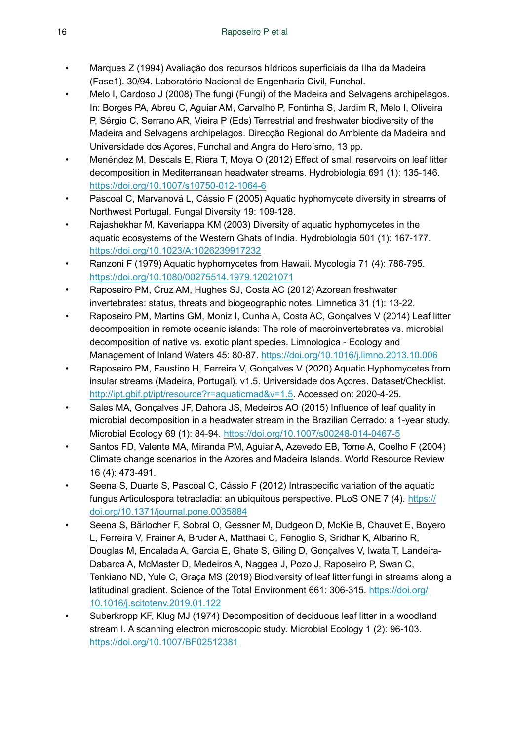- Marques Z (1994) Avaliação dos recursos hídricos superficiais da Ilha da Madeira (Fase1). 30/94. Laboratório Nacional de Engenharia Civil, Funchal.
- Melo I, Cardoso J (2008) The fungi (Fungi) of the Madeira and Selvagens archipelagos. In: Borges PA, Abreu C, Aguiar AM, Carvalho P, Fontinha S, Jardim R, Melo I, Oliveira P, Sérgio C, Serrano AR, Vieira P (Eds) Terrestrial and freshwater biodiversity of the Madeira and Selvagens archipelagos. Direcção Regional do Ambiente da Madeira and Universidade dos Açores, Funchal and Angra do Heroísmo, 13 pp.
- Menéndez M, Descals E, Riera T, Moya O (2012) Effect of small reservoirs on leaf litter decomposition in Mediterranean headwater streams. Hydrobiologia 691 (1): 135‑146. <https://doi.org/10.1007/s10750-012-1064-6>
- Pascoal C, Marvanová L, Cássio F (2005) Aquatic hyphomycete diversity in streams of Northwest Portugal. Fungal Diversity 19: 109‑128.
- Rajashekhar M, Kaveriappa KM (2003) Diversity of aquatic hyphomycetes in the aquatic ecosystems of the Western Ghats of India. Hydrobiologia 501 (1): 167-177. <https://doi.org/10.1023/A:1026239917232>
- Ranzoni F (1979) Aquatic hyphomycetes from Hawaii. Mycologia 71 (4): 786‑795. <https://doi.org/10.1080/00275514.1979.12021071>
- Raposeiro PM, Cruz AM, Hughes SJ, Costa AC (2012) Azorean freshwater invertebrates: status, threats and biogeographic notes. Limnetica 31 (1): 13‑22.
- Raposeiro PM, Martins GM, Moniz I, Cunha A, Costa AC, Gonçalves V (2014) Leaf litter decomposition in remote oceanic islands: The role of macroinvertebrates vs. microbial decomposition of native vs. exotic plant species. Limnologica - Ecology and Management of Inland Waters 45: 80‑87. <https://doi.org/10.1016/j.limno.2013.10.006>
- Raposeiro PM, Faustino H, Ferreira V, Gonçalves V (2020) Aquatic Hyphomycetes from insular streams (Madeira, Portugal). v1.5. Universidade dos Açores. Dataset/Checklist. <http://ipt.gbif.pt/ipt/resource?r=aquaticmad&v=1.5>. Accessed on: 2020-4-25.
- Sales MA, Gonçalves JF, Dahora JS, Medeiros AO (2015) Influence of leaf quality in microbial decomposition in a headwater stream in the Brazilian Cerrado: a 1-year study. Microbial Ecology 69 (1): 84‑94. <https://doi.org/10.1007/s00248-014-0467-5>
- Santos FD, Valente MA, Miranda PM, Aguiar A, Azevedo EB, Tome A, Coelho F (2004) Climate change scenarios in the Azores and Madeira Islands. World Resource Review 16 (4): 473‑491.
- Seena S, Duarte S, Pascoal C, Cássio F (2012) Intraspecific variation of the aquatic fungus Articulospora tetracladia: an ubiquitous perspective. PLoS ONE 7 (4). [https://](https://doi.org/10.1371/journal.pone.0035884) [doi.org/10.1371/journal.pone.0035884](https://doi.org/10.1371/journal.pone.0035884)
- Seena S, Bärlocher F, Sobral O, Gessner M, Dudgeon D, McKie B, Chauvet E, Boyero L, Ferreira V, Frainer A, Bruder A, Matthaei C, Fenoglio S, Sridhar K, Albariño R, Douglas M, Encalada A, Garcia E, Ghate S, Giling D, Gonçalves V, Iwata T, Landeira-Dabarca A, McMaster D, Medeiros A, Naggea J, Pozo J, Raposeiro P, Swan C, Tenkiano ND, Yule C, Graça MS (2019) Biodiversity of leaf litter fungi in streams along a latitudinal gradient. Science of the Total Environment 661: 306‑315. [https://doi.org/](https://doi.org/10.1016/j.scitotenv.2019.01.122) [10.1016/j.scitotenv.2019.01.122](https://doi.org/10.1016/j.scitotenv.2019.01.122)
- Suberkropp KF, Klug MJ (1974) Decomposition of deciduous leaf litter in a woodland stream I. A scanning electron microscopic study. Microbial Ecology 1 (2): 96-103. <https://doi.org/10.1007/BF02512381>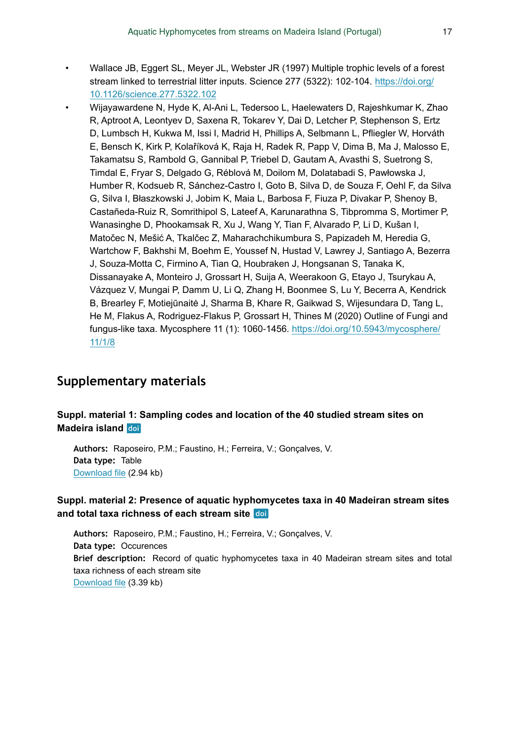- Wallace JB, Eggert SL, Meyer JL, Webster JR (1997) Multiple trophic levels of a forest stream linked to terrestrial litter inputs. Science 277 (5322): 102-104. [https://doi.org/](https://doi.org/10.1126/science.277.5322.102) [10.1126/science.277.5322.102](https://doi.org/10.1126/science.277.5322.102)
- Wijayawardene N, Hyde K, Al-Ani L, Tedersoo L, Haelewaters D, Rajeshkumar K, Zhao R, Aptroot A, Leontyev D, Saxena R, Tokarev Y, Dai D, Letcher P, Stephenson S, Ertz D, Lumbsch H, Kukwa M, Issi I, Madrid H, Phillips A, Selbmann L, Pfliegler W, Horváth E, Bensch K, Kirk P, Kolaříková K, Raja H, Radek R, Papp V, Dima B, Ma J, Malosso E, Takamatsu S, Rambold G, Gannibal P, Triebel D, Gautam A, Avasthi S, Suetrong S, Timdal E, Fryar S, Delgado G, Réblová M, Doilom M, Dolatabadi S, Pawłowska J, Humber R, Kodsueb R, Sánchez-Castro I, Goto B, Silva D, de Souza F, Oehl F, da Silva G, Silva I, Błaszkowski J, Jobim K, Maia L, Barbosa F, Fiuza P, Divakar P, Shenoy B, Castañeda-Ruiz R, Somrithipol S, Lateef A, Karunarathna S, Tibpromma S, Mortimer P, Wanasinghe D, Phookamsak R, Xu J, Wang Y, Tian F, Alvarado P, Li D, Kušan I, Matočec N, Mešić A, Tkalčec Z, Maharachchikumbura S, Papizadeh M, Heredia G, Wartchow F, Bakhshi M, Boehm E, Youssef N, Hustad V, Lawrey J, Santiago A, Bezerra J, Souza-Motta C, Firmino A, Tian Q, Houbraken J, Hongsanan S, Tanaka K, Dissanayake A, Monteiro J, Grossart H, Suija A, Weerakoon G, Etayo J, Tsurykau A, Vázquez V, Mungai P, Damm U, Li Q, Zhang H, Boonmee S, Lu Y, Becerra A, Kendrick B, Brearley F, Motiejūnaitė J, Sharma B, Khare R, Gaikwad S, Wijesundara D, Tang L, He M, Flakus A, Rodriguez-Flakus P, Grossart H, Thines M (2020) Outline of Fungi and fungus-like taxa. Mycosphere 11 (1): 1060-1456. [https://doi.org/10.5943/mycosphere/](https://doi.org/10.5943/mycosphere/11/1/8) [11/1/8](https://doi.org/10.5943/mycosphere/11/1/8)

### **Supplementary materials**

#### **Suppl. material 1: Sampling codes and location of the 40 studied stream sites on Madeira island**

**Authors:** Raposeiro, P.M.; Faustino, H.; Ferreira, V.; Gonçalves, V. **Data type:** Table [Download file](https://arpha.pensoft.net/getfile.php?filename=oo_416221.csv) (2.94 kb)

#### **Suppl. material 2: Presence of aquatic hyphomycetes taxa in 40 Madeiran stream sites and total taxa richness of each stream site**

**Authors:** Raposeiro, P.M.; Faustino, H.; Ferreira, V.; Gonçalves, V. **Data type:** Occurences **Brief description:** Record of quatic hyphomycetes taxa in 40 Madeiran stream sites and total taxa richness of each stream site [Download file](https://arpha.pensoft.net/getfile.php?filename=oo_403980.csv) (3.39 kb)